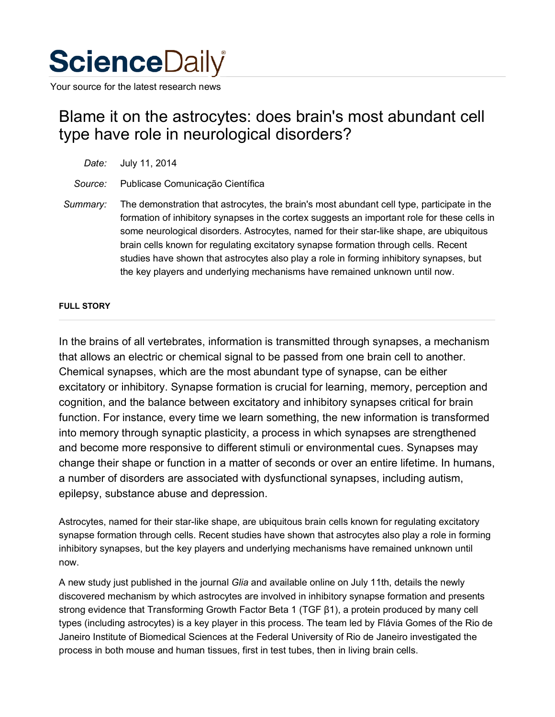

Your source for the latest research news

## Blame it on the astrocytes: does brain's most abundant cell type have role in neurological disorders?

| Date: July 11, 2014                      |
|------------------------------------------|
| Source: Publicase Comunicação Científica |

*Summary:* The demonstration that astrocytes, the brain's most abundant cell type, participate in the formation of inhibitory synapses in the cortex suggests an important role for these cells in some neurological disorders. Astrocytes, named for their star-like shape, are ubiquitous brain cells known for regulating excitatory synapse formation through cells. Recent studies have shown that astrocytes also play a role in forming inhibitory synapses, but the key players and underlying mechanisms have remained unknown until now.

## **FULL STORY**

In the brains of all vertebrates, information is transmitted through synapses, a mechanism that allows an electric or chemical signal to be passed from one brain cell to another. Chemical synapses, which are the most abundant type of synapse, can be either excitatory or inhibitory. Synapse formation is crucial for learning, memory, perception and cognition, and the balance between excitatory and inhibitory synapses critical for brain function. For instance, every time we learn something, the new information is transformed into memory through synaptic plasticity, a process in which synapses are strengthened and become more responsive to different stimuli or environmental cues. Synapses may change their shape or function in a matter of seconds or over an entire lifetime. In humans, a number of disorders are associated with dysfunctional synapses, including autism, epilepsy, substance abuse and depression.

Astrocytes, named for their star-like shape, are ubiquitous brain cells known for regulating excitatory synapse formation through cells. Recent studies have shown that astrocytes also play a role in forming inhibitory synapses, but the key players and underlying mechanisms have remained unknown until now.

A new study just published in the journal *Glia* and available online on July 11th, details the newly discovered mechanism by which astrocytes are involved in inhibitory synapse formation and presents strong evidence that Transforming Growth Factor Beta 1 (TGF β1), a protein produced by many cell types (including astrocytes) is a key player in this process. The team led by Flávia Gomes of the Rio de Janeiro Institute of Biomedical Sciences at the Federal University of Rio de Janeiro investigated the process in both mouse and human tissues, first in test tubes, then in living brain cells.